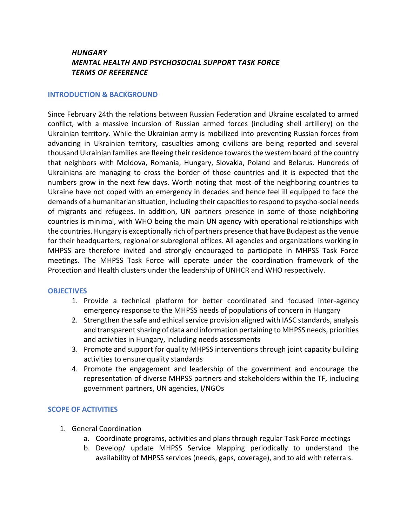# *HUNGARY MENTAL HEALTH AND PSYCHOSOCIAL SUPPORT TASK FORCE TERMS OF REFERENCE*

#### **INTRODUCTION & BACKGROUND**

Since February 24th the relations between Russian Federation and Ukraine escalated to armed conflict, with a massive incursion of Russian armed forces (including shell artillery) on the Ukrainian territory. While the Ukrainian army is mobilized into preventing Russian forces from advancing in Ukrainian territory, casualties among civilians are being reported and several thousand Ukrainian families are fleeing their residence towards the western board of the country that neighbors with Moldova, Romania, Hungary, Slovakia, Poland and Belarus. Hundreds of Ukrainians are managing to cross the border of those countries and it is expected that the numbers grow in the next few days. Worth noting that most of the neighboring countries to Ukraine have not coped with an emergency in decades and hence feel ill equipped to face the demands of a humanitarian situation, including their capacities to respond to psycho-social needs of migrants and refugees. In addition, UN partners presence in some of those neighboring countries is minimal, with WHO being the main UN agency with operational relationships with the countries. Hungary is exceptionally rich of partners presence that have Budapest as the venue for their headquarters, regional or subregional offices. All agencies and organizations working in MHPSS are therefore invited and strongly encouraged to participate in MHPSS Task Force meetings. The MHPSS Task Force will operate under the coordination framework of the Protection and Health clusters under the leadership of UNHCR and WHO respectively.

#### **OBJECTIVES**

- 1. Provide a technical platform for better coordinated and focused inter-agency emergency response to the MHPSS needs of populations of concern in Hungary
- 2. Strengthen the safe and ethical service provision aligned with IASC standards, analysis and transparent sharing of data and information pertaining to MHPSS needs, priorities and activities in Hungary, including needs assessments
- 3. Promote and support for quality MHPSS interventions through joint capacity building activities to ensure quality standards
- 4. Promote the engagement and leadership of the government and encourage the representation of diverse MHPSS partners and stakeholders within the TF, including government partners, UN agencies, I/NGOs

### **SCOPE OF ACTIVITIES**

- 1. General Coordination
	- a. Coordinate programs, activities and plans through regular Task Force meetings
	- b. Develop/ update MHPSS Service Mapping periodically to understand the availability of MHPSS services (needs, gaps, coverage), and to aid with referrals.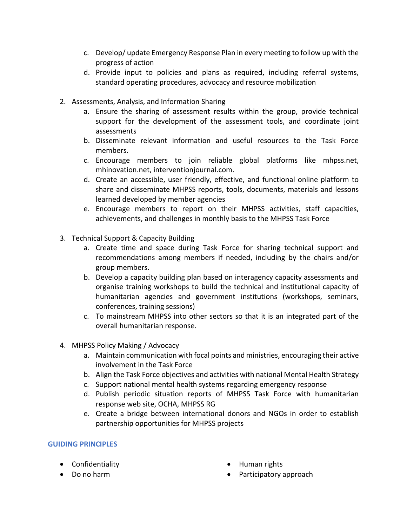- c. Develop/ update Emergency Response Plan in every meeting to follow up with the progress of action
- d. Provide input to policies and plans as required, including referral systems, standard operating procedures, advocacy and resource mobilization
- 2. Assessments, Analysis, and Information Sharing
	- a. Ensure the sharing of assessment results within the group, provide technical support for the development of the assessment tools, and coordinate joint assessments
	- b. Disseminate relevant information and useful resources to the Task Force members.
	- c. Encourage members to join reliable global platforms like mhpss.net, mhinovation.net, interventionjournal.com.
	- d. Create an accessible, user friendly, effective, and functional online platform to share and disseminate MHPSS reports, tools, documents, materials and lessons learned developed by member agencies
	- e. Encourage members to report on their MHPSS activities, staff capacities, achievements, and challenges in monthly basis to the MHPSS Task Force
- 3. Technical Support & Capacity Building
	- a. Create time and space during Task Force for sharing technical support and recommendations among members if needed, including by the chairs and/or group members.
	- b. Develop a capacity building plan based on interagency capacity assessments and organise training workshops to build the technical and institutional capacity of humanitarian agencies and government institutions (workshops, seminars, conferences, training sessions)
	- c. To mainstream MHPSS into other sectors so that it is an integrated part of the overall humanitarian response.
- 4. MHPSS Policy Making / Advocacy
	- a. Maintain communication with focal points and ministries, encouraging their active involvement in the Task Force
	- b. Align the Task Force objectives and activities with national Mental Health Strategy
	- c. Support national mental health systems regarding emergency response
	- d. Publish periodic situation reports of MHPSS Task Force with humanitarian response web site, OCHA, MHPSS RG
	- e. Create a bridge between international donors and NGOs in order to establish partnership opportunities for MHPSS projects

### **GUIDING PRINCIPLES**

- Confidentiality
- Do no harm
- Human rights
- Participatory approach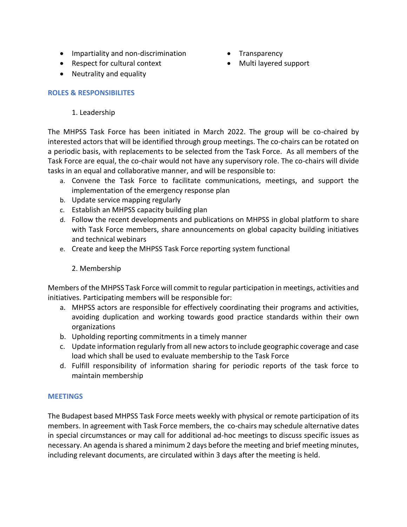- Impartiality and non-discrimination
- Respect for cultural context
- Neutrality and equality

# **ROLES & RESPONSIBILITES**

# 1. Leadership

The MHPSS Task Force has been initiated in March 2022. The group will be co-chaired by interested actors that will be identified through group meetings. The co-chairs can be rotated on a periodic basis, with replacements to be selected from the Task Force. As all members of the Task Force are equal, the co-chair would not have any supervisory role. The co-chairs will divide tasks in an equal and collaborative manner, and will be responsible to:

- a. Convene the Task Force to facilitate communications, meetings, and support the implementation of the emergency response plan
- b. Update service mapping regularly
- c. Establish an MHPSS capacity building plan
- d. Follow the recent developments and publications on MHPSS in global platform to share with Task Force members, share announcements on global capacity building initiatives and technical webinars
- e. Create and keep the MHPSS Task Force reporting system functional

# 2. Membership

Members of the MHPSS Task Force will commit to regular participation in meetings, activities and initiatives. Participating members will be responsible for:

- a. MHPSS actors are responsible for effectively coordinating their programs and activities, avoiding duplication and working towards good practice standards within their own organizations
- b. Upholding reporting commitments in a timely manner
- c. Update information regularly from all new actors to include geographic coverage and case load which shall be used to evaluate membership to the Task Force
- d. Fulfill responsibility of information sharing for periodic reports of the task force to maintain membership

## **MEETINGS**

The Budapest based MHPSS Task Force meets weekly with physical or remote participation of its members. In agreement with Task Force members, the co-chairs may schedule alternative dates in special circumstances or may call for additional ad-hoc meetings to discuss specific issues as necessary. An agenda is shared a minimum 2 days before the meeting and brief meeting minutes, including relevant documents, are circulated within 3 days after the meeting is held.

- Transparency
	- Multi layered support